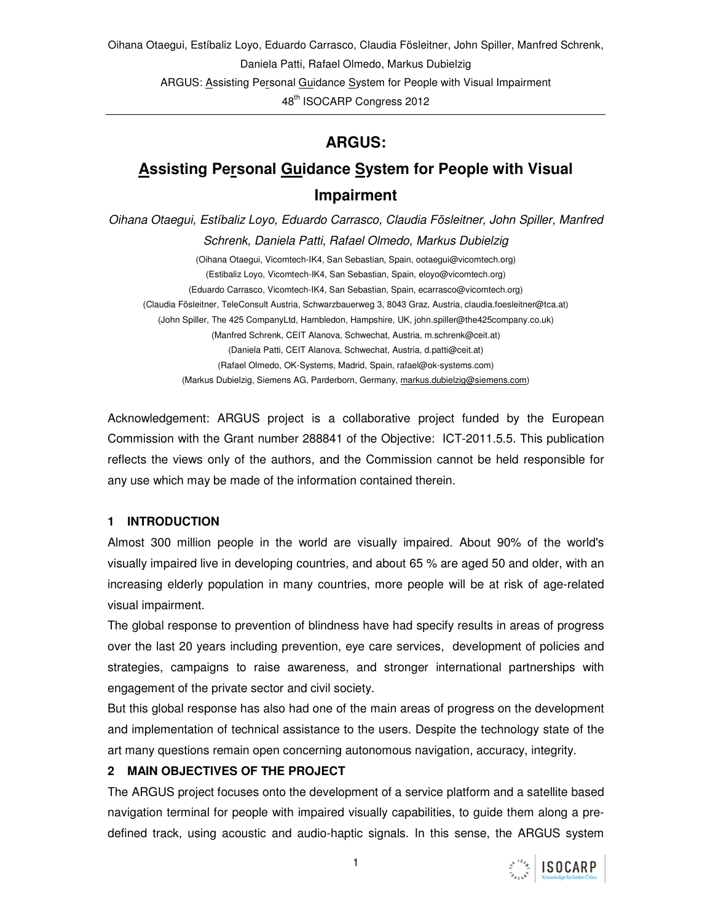Oihana Otaegui, Estíbaliz Loyo, Eduardo Carrasco, Claudia Fösleitner, John Spiller, Manfred Schrenk, Daniela Patti, Rafael Olmedo, Markus Dubielzig ARGUS: Assisting Personal Guidance System for People with Visual Impairment 48<sup>th</sup> ISOCARP Congress 2012

# **ARGUS:**

# **Assisting Personal Guidance System for People with Visual Impairment**

Oihana Otaegui, Estíbaliz Loyo, Eduardo Carrasco, Claudia Fösleitner, John Spiller, Manfred Schrenk, Daniela Patti, Rafael Olmedo, Markus Dubielzig

(Oihana Otaegui, Vicomtech-IK4, San Sebastian, Spain, ootaegui@vicomtech.org) (Estibaliz Loyo, Vicomtech-IK4, San Sebastian, Spain, eloyo@vicomtech.org) (Eduardo Carrasco, Vicomtech-IK4, San Sebastian, Spain, ecarrasco@vicomtech.org) (Claudia Fösleitner, TeleConsult Austria, Schwarzbauerweg 3, 8043 Graz, Austria, claudia.foesleitner@tca.at) (John Spiller, The 425 CompanyLtd, Hambledon, Hampshire, UK, john.spiller@the425company.co.uk) (Manfred Schrenk, CEIT Alanova, Schwechat, Austria, m.schrenk@ceit.at) (Daniela Patti, CEIT Alanova, Schwechat, Austria, d.patti@ceit.at) (Rafael Olmedo, OK-Systems, Madrid, Spain, rafael@ok-systems.com) (Markus Dubielzig, Siemens AG, Parderborn, Germany, markus.dubielzig@siemens.com)

Acknowledgement: ARGUS project is a collaborative project funded by the European Commission with the Grant number 288841 of the Objective: ICT-2011.5.5. This publication reflects the views only of the authors, and the Commission cannot be held responsible for any use which may be made of the information contained therein.

#### **1 INTRODUCTION**

Almost 300 million people in the world are visually impaired. About 90% of the world's visually impaired live in developing countries, and about 65 % are aged 50 and older, with an increasing elderly population in many countries, more people will be at risk of age-related visual impairment.

The global response to prevention of blindness have had specify results in areas of progress over the last 20 years including prevention, eye care services, development of policies and strategies, campaigns to raise awareness, and stronger international partnerships with engagement of the private sector and civil society.

But this global response has also had one of the main areas of progress on the development and implementation of technical assistance to the users. Despite the technology state of the art many questions remain open concerning autonomous navigation, accuracy, integrity.

#### **2 MAIN OBJECTIVES OF THE PROJECT**

The ARGUS project focuses onto the development of a service platform and a satellite based navigation terminal for people with impaired visually capabilities, to guide them along a predefined track, using acoustic and audio-haptic signals. In this sense, the ARGUS system

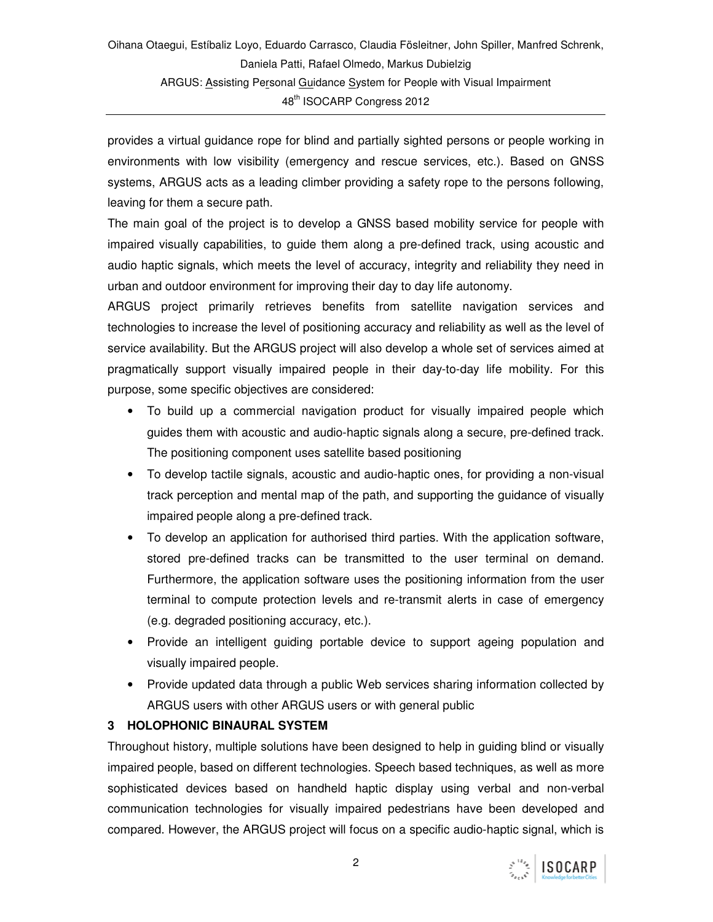provides a virtual guidance rope for blind and partially sighted persons or people working in environments with low visibility (emergency and rescue services, etc.). Based on GNSS systems, ARGUS acts as a leading climber providing a safety rope to the persons following, leaving for them a secure path.

The main goal of the project is to develop a GNSS based mobility service for people with impaired visually capabilities, to guide them along a pre-defined track, using acoustic and audio haptic signals, which meets the level of accuracy, integrity and reliability they need in urban and outdoor environment for improving their day to day life autonomy.

ARGUS project primarily retrieves benefits from satellite navigation services and technologies to increase the level of positioning accuracy and reliability as well as the level of service availability. But the ARGUS project will also develop a whole set of services aimed at pragmatically support visually impaired people in their day-to-day life mobility. For this purpose, some specific objectives are considered:

- To build up a commercial navigation product for visually impaired people which guides them with acoustic and audio-haptic signals along a secure, pre-defined track. The positioning component uses satellite based positioning
- To develop tactile signals, acoustic and audio-haptic ones, for providing a non-visual track perception and mental map of the path, and supporting the guidance of visually impaired people along a pre-defined track.
- To develop an application for authorised third parties. With the application software, stored pre-defined tracks can be transmitted to the user terminal on demand. Furthermore, the application software uses the positioning information from the user terminal to compute protection levels and re-transmit alerts in case of emergency (e.g. degraded positioning accuracy, etc.).
- Provide an intelligent guiding portable device to support ageing population and visually impaired people.
- Provide updated data through a public Web services sharing information collected by ARGUS users with other ARGUS users or with general public

#### **3 HOLOPHONIC BINAURAL SYSTEM**

Throughout history, multiple solutions have been designed to help in guiding blind or visually impaired people, based on different technologies. Speech based techniques, as well as more sophisticated devices based on handheld haptic display using verbal and non-verbal communication technologies for visually impaired pedestrians have been developed and compared. However, the ARGUS project will focus on a specific audio-haptic signal, which is

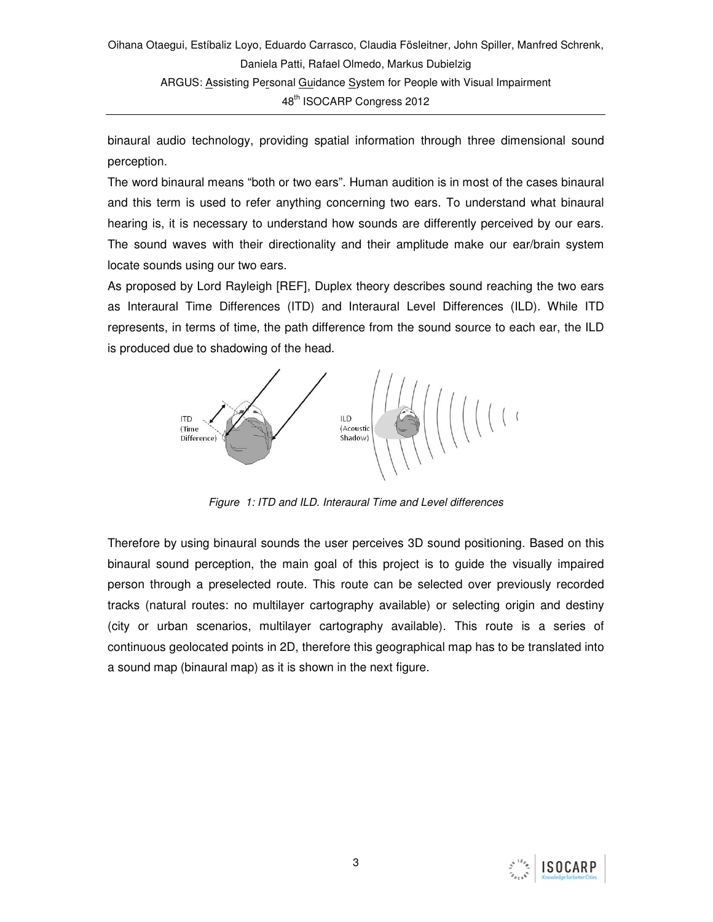binaural audio technology, providing spatial information through three dimensional sound perception.

The word binaural means "both or two ears". Human audition is in most of the cases binaural and this term is used to refer anything concerning two ears. To understand what binaural hearing is, it is necessary to understand how sounds are differently perceived by our ears. The sound waves with their directionality and their amplitude make our ear/brain system locate sounds using our two ears.

As proposed by Lord Rayleigh [REF], Duplex theory describes sound reaching the two ears as Interaural Time Differences (ITD) and Interaural Level Differences (ILD). While ITD represents, in terms of time, the path difference from the sound source to each ear, the ILD is produced due to shadowing of the head.



Figure 1: ITD and ILD. Interaural Time and Level differences

Therefore by using binaural sounds the user perceives 3D sound positioning. Based on this binaural sound perception, the main goal of this project is to guide the visually impaired person through a preselected route. This route can be selected over previously recorded tracks (natural routes: no multilayer cartography available) or selecting origin and destiny (city or urban scenarios, multilayer cartography available). This route is a series of continuous geolocated points in 2D, therefore this geographical map has to be translated into a sound map (binaural map) as it is shown in the next figure.

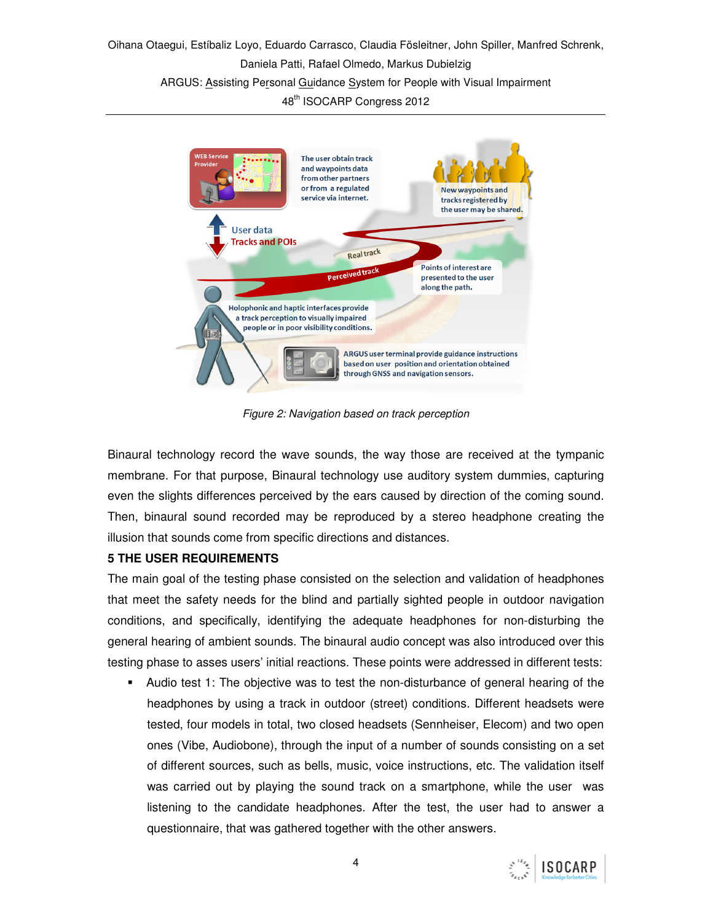Oihana Otaegui, Estíbaliz Loyo, Eduardo Carrasco, Claudia Fösleitner, John Spiller, Manfred Schrenk, Daniela Patti, Rafael Olmedo, Markus Dubielzig ARGUS: Assisting Personal Guidance System for People with Visual Impairment 48<sup>th</sup> ISOCARP Congress 2012



Figure 2: Navigation based on track perception

Binaural technology record the wave sounds, the way those are received at the tympanic membrane. For that purpose, Binaural technology use auditory system dummies, capturing even the slights differences perceived by the ears caused by direction of the coming sound. Then, binaural sound recorded may be reproduced by a stereo headphone creating the illusion that sounds come from specific directions and distances.

#### **5 THE USER REQUIREMENTS**

The main goal of the testing phase consisted on the selection and validation of headphones that meet the safety needs for the blind and partially sighted people in outdoor navigation conditions, and specifically, identifying the adequate headphones for non-disturbing the general hearing of ambient sounds. The binaural audio concept was also introduced over this testing phase to asses users' initial reactions. These points were addressed in different tests:

 Audio test 1: The objective was to test the non-disturbance of general hearing of the headphones by using a track in outdoor (street) conditions. Different headsets were tested, four models in total, two closed headsets (Sennheiser, Elecom) and two open ones (Vibe, Audiobone), through the input of a number of sounds consisting on a set of different sources, such as bells, music, voice instructions, etc. The validation itself was carried out by playing the sound track on a smartphone, while the user was listening to the candidate headphones. After the test, the user had to answer a questionnaire, that was gathered together with the other answers.

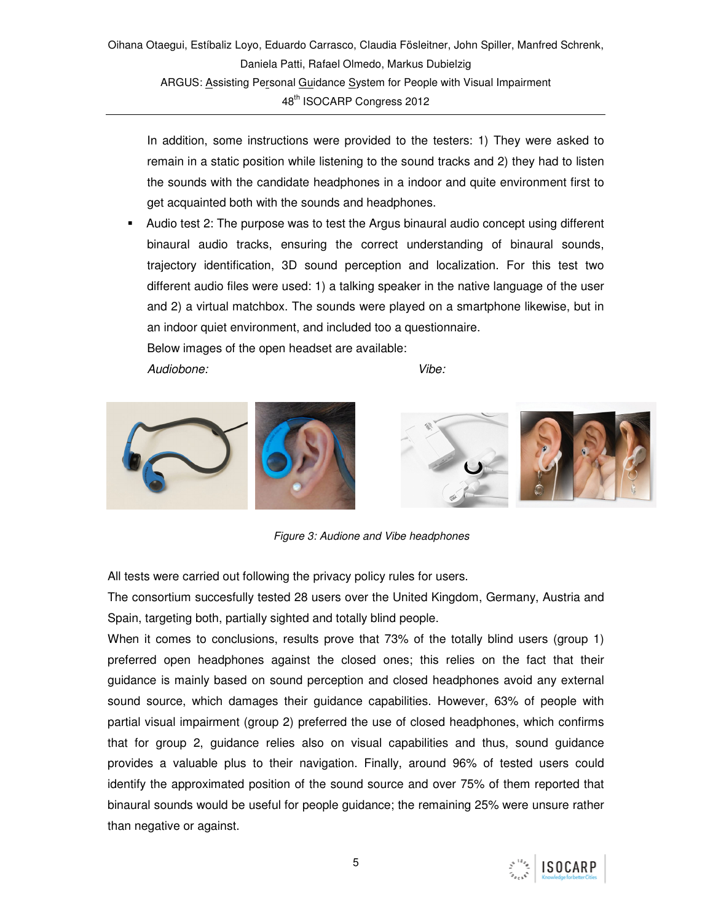In addition, some instructions were provided to the testers: 1) They were asked to remain in a static position while listening to the sound tracks and 2) they had to listen the sounds with the candidate headphones in a indoor and quite environment first to get acquainted both with the sounds and headphones.

 Audio test 2: The purpose was to test the Argus binaural audio concept using different binaural audio tracks, ensuring the correct understanding of binaural sounds, trajectory identification, 3D sound perception and localization. For this test two different audio files were used: 1) a talking speaker in the native language of the user and 2) a virtual matchbox. The sounds were played on a smartphone likewise, but in an indoor quiet environment, and included too a questionnaire.

Audiobone: Vibe:



Figure 3: Audione and Vibe headphones

All tests were carried out following the privacy policy rules for users.

Below images of the open headset are available:

The consortium succesfully tested 28 users over the United Kingdom, Germany, Austria and Spain, targeting both, partially sighted and totally blind people.

When it comes to conclusions, results prove that 73% of the totally blind users (group 1) preferred open headphones against the closed ones; this relies on the fact that their guidance is mainly based on sound perception and closed headphones avoid any external sound source, which damages their guidance capabilities. However, 63% of people with partial visual impairment (group 2) preferred the use of closed headphones, which confirms that for group 2, guidance relies also on visual capabilities and thus, sound guidance provides a valuable plus to their navigation. Finally, around 96% of tested users could identify the approximated position of the sound source and over 75% of them reported that binaural sounds would be useful for people guidance; the remaining 25% were unsure rather than negative or against.

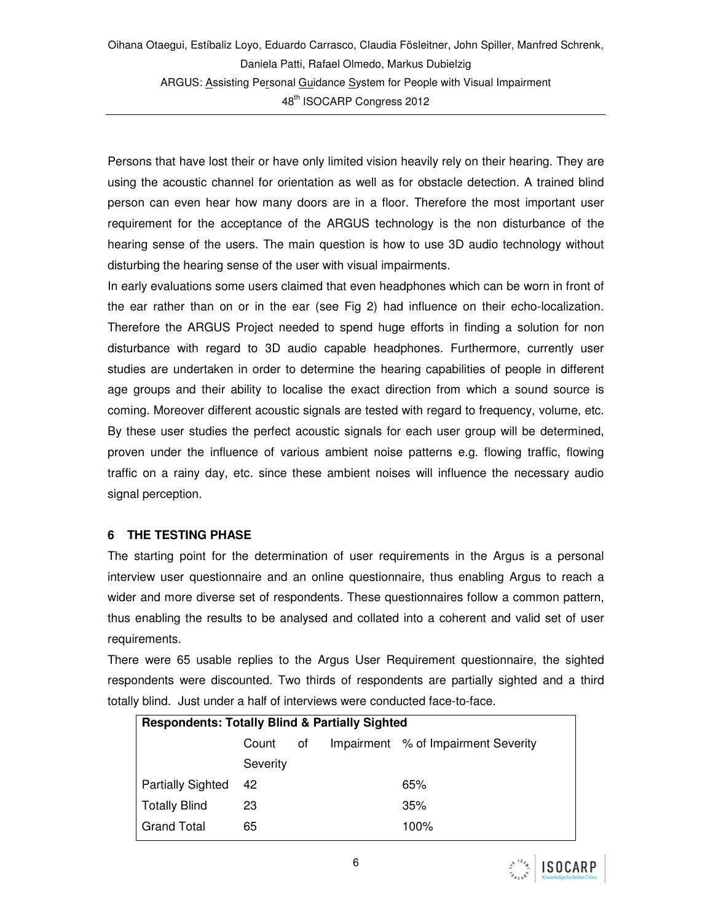Persons that have lost their or have only limited vision heavily rely on their hearing. They are using the acoustic channel for orientation as well as for obstacle detection. A trained blind person can even hear how many doors are in a floor. Therefore the most important user requirement for the acceptance of the ARGUS technology is the non disturbance of the hearing sense of the users. The main question is how to use 3D audio technology without disturbing the hearing sense of the user with visual impairments.

In early evaluations some users claimed that even headphones which can be worn in front of the ear rather than on or in the ear (see Fig 2) had influence on their echo-localization. Therefore the ARGUS Project needed to spend huge efforts in finding a solution for non disturbance with regard to 3D audio capable headphones. Furthermore, currently user studies are undertaken in order to determine the hearing capabilities of people in different age groups and their ability to localise the exact direction from which a sound source is coming. Moreover different acoustic signals are tested with regard to frequency, volume, etc. By these user studies the perfect acoustic signals for each user group will be determined, proven under the influence of various ambient noise patterns e.g. flowing traffic, flowing traffic on a rainy day, etc. since these ambient noises will influence the necessary audio signal perception.

#### **6 THE TESTING PHASE**

The starting point for the determination of user requirements in the Argus is a personal interview user questionnaire and an online questionnaire, thus enabling Argus to reach a wider and more diverse set of respondents. These questionnaires follow a common pattern, thus enabling the results to be analysed and collated into a coherent and valid set of user requirements.

There were 65 usable replies to the Argus User Requirement questionnaire, the sighted respondents were discounted. Two thirds of respondents are partially sighted and a third totally blind. Just under a half of interviews were conducted face-to-face.

| <b>Respondents: Totally Blind &amp; Partially Sighted</b> |          |    |  |                                     |  |  |  |  |  |
|-----------------------------------------------------------|----------|----|--|-------------------------------------|--|--|--|--|--|
|                                                           | Count    | οf |  | Impairment % of Impairment Severity |  |  |  |  |  |
|                                                           | Severity |    |  |                                     |  |  |  |  |  |
| <b>Partially Sighted</b>                                  | 42       |    |  | 65%                                 |  |  |  |  |  |
| <b>Totally Blind</b>                                      | 23       |    |  | 35%                                 |  |  |  |  |  |
| <b>Grand Total</b>                                        | 65       |    |  | 100%                                |  |  |  |  |  |

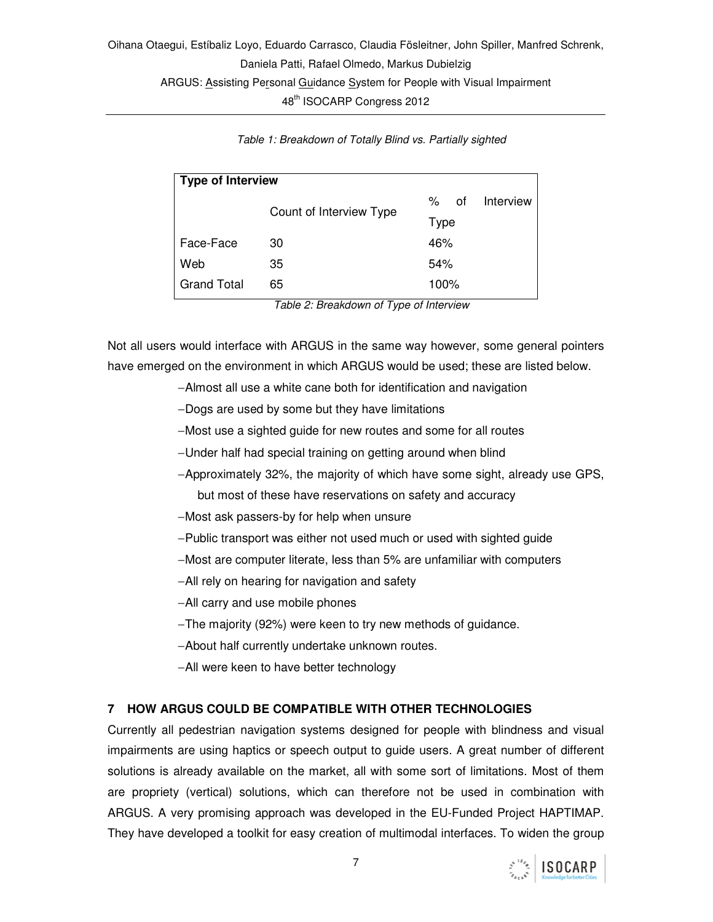| <b>Type of Interview</b> |                         |      |      |           |  |  |  |  |
|--------------------------|-------------------------|------|------|-----------|--|--|--|--|
|                          | Count of Interview Type | %    | 0f   | Interview |  |  |  |  |
|                          |                         |      | Type |           |  |  |  |  |
| Face-Face                | 30                      | 46%  |      |           |  |  |  |  |
| Web                      | 35                      | 54%  |      |           |  |  |  |  |
| <b>Grand Total</b>       | 65                      | 100% |      |           |  |  |  |  |

Table 1: Breakdown of Totally Blind vs. Partially sighted

Table 2: Breakdown of Type of Interview

Not all users would interface with ARGUS in the same way however, some general pointers have emerged on the environment in which ARGUS would be used; these are listed below.

- − Almost all use a white cane both for identification and navigation
- − Dogs are used by some but they have limitations
- − Most use a sighted guide for new routes and some for all routes
- − Under half had special training on getting around when blind
- − Approximately 32%, the majority of which have some sight, already use GPS, but most of these have reservations on safety and accuracy
- − Most ask passers-by for help when unsure
- − Public transport was either not used much or used with sighted guide
- − Most are computer literate, less than 5% are unfamiliar with computers
- − All rely on hearing for navigation and safety
- − All carry and use mobile phones
- − The majority (92%) were keen to try new methods of guidance.
- − About half currently undertake unknown routes.
- − All were keen to have better technology

#### **7 HOW ARGUS COULD BE COMPATIBLE WITH OTHER TECHNOLOGIES**

Currently all pedestrian navigation systems designed for people with blindness and visual impairments are using haptics or speech output to guide users. A great number of different solutions is already available on the market, all with some sort of limitations. Most of them are propriety (vertical) solutions, which can therefore not be used in combination with ARGUS. A very promising approach was developed in the EU-Funded Project HAPTIMAP. They have developed a toolkit for easy creation of multimodal interfaces. To widen the group

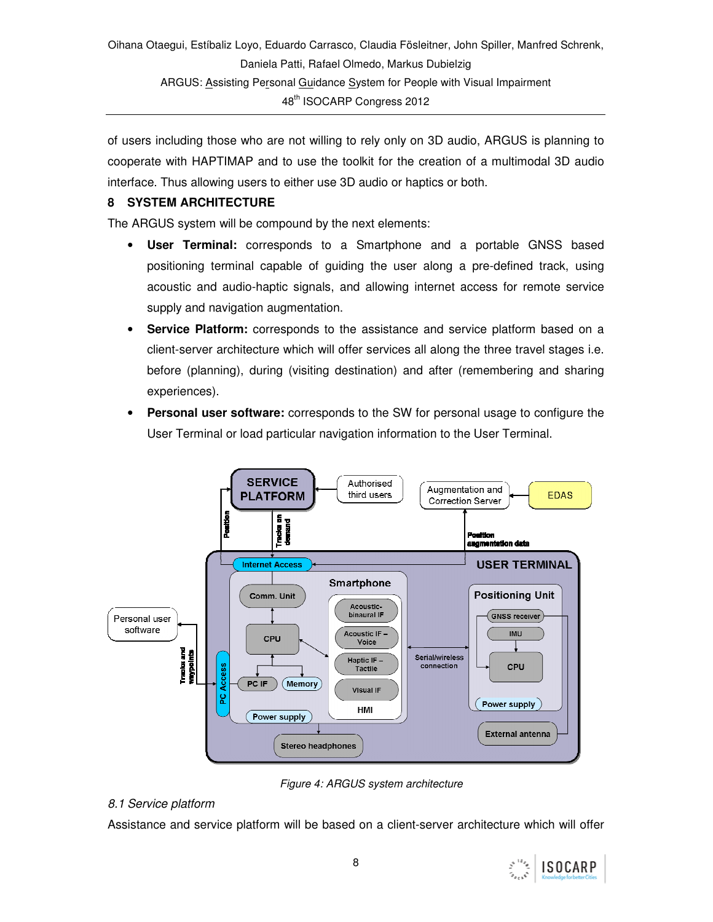of users including those who are not willing to rely only on 3D audio, ARGUS is planning to cooperate with HAPTIMAP and to use the toolkit for the creation of a multimodal 3D audio interface. Thus allowing users to either use 3D audio or haptics or both.

#### **8 SYSTEM ARCHITECTURE**

The ARGUS system will be compound by the next elements:

- **User Terminal:** corresponds to a Smartphone and a portable GNSS based positioning terminal capable of guiding the user along a pre-defined track, using acoustic and audio-haptic signals, and allowing internet access for remote service supply and navigation augmentation.
- **Service Platform:** corresponds to the assistance and service platform based on a client-server architecture which will offer services all along the three travel stages i.e. before (planning), during (visiting destination) and after (remembering and sharing experiences).
- **Personal user software:** corresponds to the SW for personal usage to configure the User Terminal or load particular navigation information to the User Terminal.



Figure 4: ARGUS system architecture

#### 8.1 Service platform

Assistance and service platform will be based on a client-server architecture which will offer

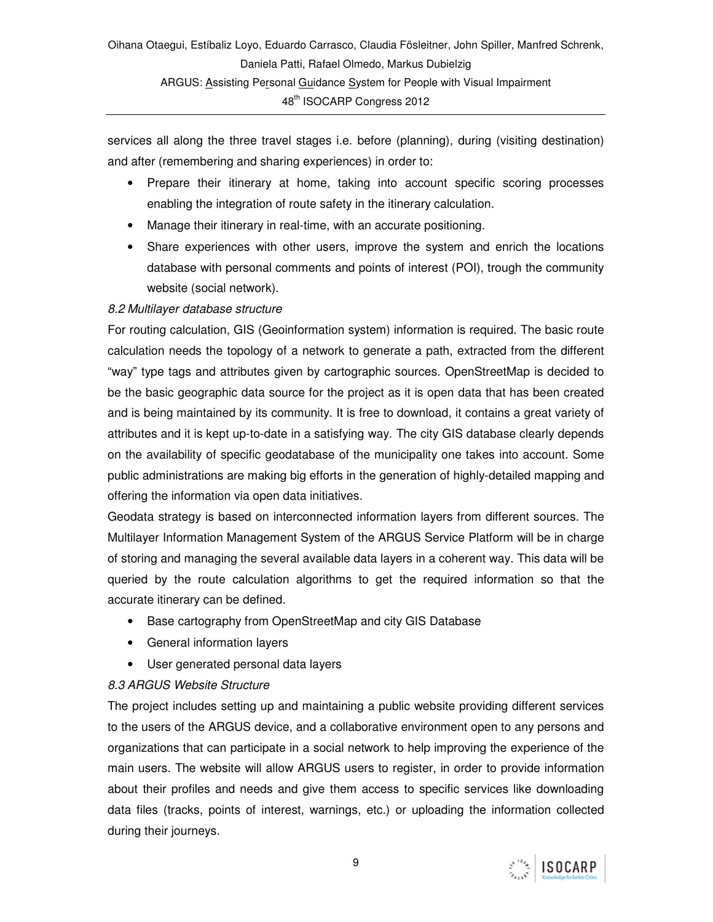services all along the three travel stages i.e. before (planning), during (visiting destination) and after (remembering and sharing experiences) in order to:

- Prepare their itinerary at home, taking into account specific scoring processes enabling the integration of route safety in the itinerary calculation.
- Manage their itinerary in real-time, with an accurate positioning.
- Share experiences with other users, improve the system and enrich the locations database with personal comments and points of interest (POI), trough the community website (social network).

# 8.2 Multilayer database structure

For routing calculation, GIS (Geoinformation system) information is required. The basic route calculation needs the topology of a network to generate a path, extracted from the different "way" type tags and attributes given by cartographic sources. OpenStreetMap is decided to be the basic geographic data source for the project as it is open data that has been created and is being maintained by its community. It is free to download, it contains a great variety of attributes and it is kept up-to-date in a satisfying way. The city GIS database clearly depends on the availability of specific geodatabase of the municipality one takes into account. Some public administrations are making big efforts in the generation of highly-detailed mapping and offering the information via open data initiatives.

Geodata strategy is based on interconnected information layers from different sources. The Multilayer Information Management System of the ARGUS Service Platform will be in charge of storing and managing the several available data layers in a coherent way. This data will be queried by the route calculation algorithms to get the required information so that the accurate itinerary can be defined.

- Base cartography from OpenStreetMap and city GIS Database
- General information layers
- User generated personal data layers

#### 8.3 ARGUS Website Structure

The project includes setting up and maintaining a public website providing different services to the users of the ARGUS device, and a collaborative environment open to any persons and organizations that can participate in a social network to help improving the experience of the main users. The website will allow ARGUS users to register, in order to provide information about their profiles and needs and give them access to specific services like downloading data files (tracks, points of interest, warnings, etc.) or uploading the information collected during their journeys.

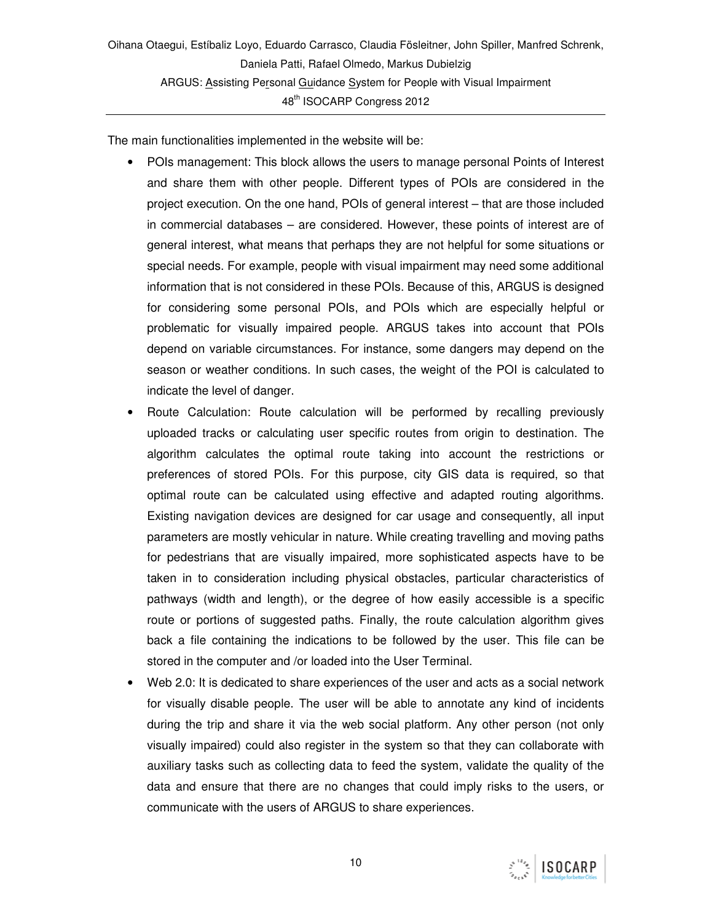The main functionalities implemented in the website will be:

- POIs management: This block allows the users to manage personal Points of Interest and share them with other people. Different types of POIs are considered in the project execution. On the one hand, POIs of general interest – that are those included in commercial databases – are considered. However, these points of interest are of general interest, what means that perhaps they are not helpful for some situations or special needs. For example, people with visual impairment may need some additional information that is not considered in these POIs. Because of this, ARGUS is designed for considering some personal POIs, and POIs which are especially helpful or problematic for visually impaired people. ARGUS takes into account that POIs depend on variable circumstances. For instance, some dangers may depend on the season or weather conditions. In such cases, the weight of the POI is calculated to indicate the level of danger.
- Route Calculation: Route calculation will be performed by recalling previously uploaded tracks or calculating user specific routes from origin to destination. The algorithm calculates the optimal route taking into account the restrictions or preferences of stored POIs. For this purpose, city GIS data is required, so that optimal route can be calculated using effective and adapted routing algorithms. Existing navigation devices are designed for car usage and consequently, all input parameters are mostly vehicular in nature. While creating travelling and moving paths for pedestrians that are visually impaired, more sophisticated aspects have to be taken in to consideration including physical obstacles, particular characteristics of pathways (width and length), or the degree of how easily accessible is a specific route or portions of suggested paths. Finally, the route calculation algorithm gives back a file containing the indications to be followed by the user. This file can be stored in the computer and /or loaded into the User Terminal.
- Web 2.0: It is dedicated to share experiences of the user and acts as a social network for visually disable people. The user will be able to annotate any kind of incidents during the trip and share it via the web social platform. Any other person (not only visually impaired) could also register in the system so that they can collaborate with auxiliary tasks such as collecting data to feed the system, validate the quality of the data and ensure that there are no changes that could imply risks to the users, or communicate with the users of ARGUS to share experiences.

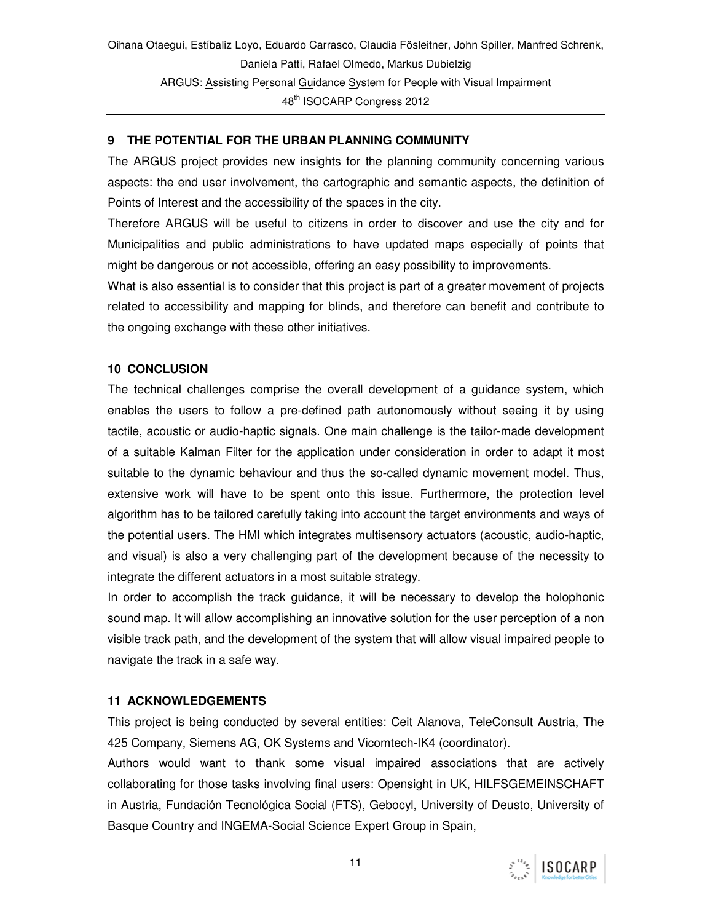### **9 THE POTENTIAL FOR THE URBAN PLANNING COMMUNITY**

The ARGUS project provides new insights for the planning community concerning various aspects: the end user involvement, the cartographic and semantic aspects, the definition of Points of Interest and the accessibility of the spaces in the city.

Therefore ARGUS will be useful to citizens in order to discover and use the city and for Municipalities and public administrations to have updated maps especially of points that might be dangerous or not accessible, offering an easy possibility to improvements.

What is also essential is to consider that this project is part of a greater movement of projects related to accessibility and mapping for blinds, and therefore can benefit and contribute to the ongoing exchange with these other initiatives.

#### **10 CONCLUSION**

The technical challenges comprise the overall development of a guidance system, which enables the users to follow a pre-defined path autonomously without seeing it by using tactile, acoustic or audio-haptic signals. One main challenge is the tailor-made development of a suitable Kalman Filter for the application under consideration in order to adapt it most suitable to the dynamic behaviour and thus the so-called dynamic movement model. Thus, extensive work will have to be spent onto this issue. Furthermore, the protection level algorithm has to be tailored carefully taking into account the target environments and ways of the potential users. The HMI which integrates multisensory actuators (acoustic, audio-haptic, and visual) is also a very challenging part of the development because of the necessity to integrate the different actuators in a most suitable strategy.

In order to accomplish the track guidance, it will be necessary to develop the holophonic sound map. It will allow accomplishing an innovative solution for the user perception of a non visible track path, and the development of the system that will allow visual impaired people to navigate the track in a safe way.

#### **11 ACKNOWLEDGEMENTS**

This project is being conducted by several entities: Ceit Alanova, TeleConsult Austria, The 425 Company, Siemens AG, OK Systems and Vicomtech-IK4 (coordinator).

Authors would want to thank some visual impaired associations that are actively collaborating for those tasks involving final users: Opensight in UK, HILFSGEMEINSCHAFT in Austria, Fundación Tecnológica Social (FTS), Gebocyl, University of Deusto, University of Basque Country and INGEMA-Social Science Expert Group in Spain,